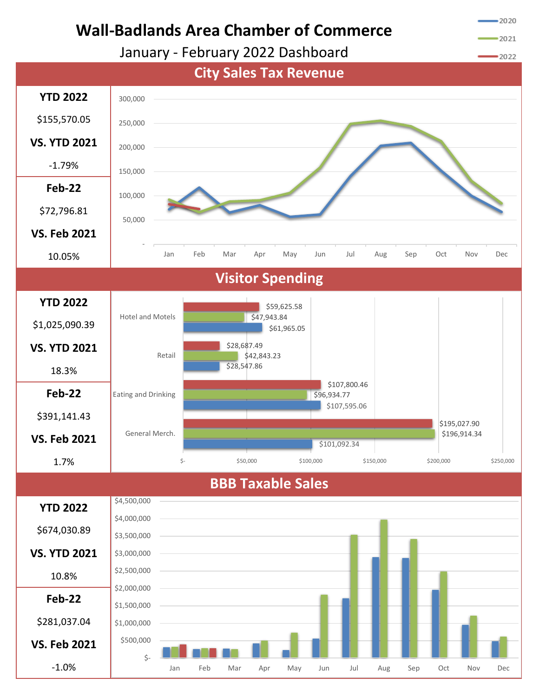

Jan Feb Mar Apr May Jun Jul Aug Sep Oct Nov Dec

-1.0%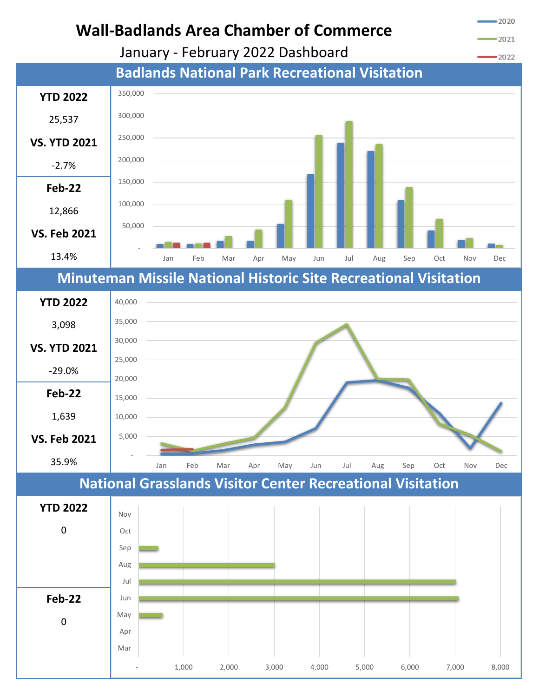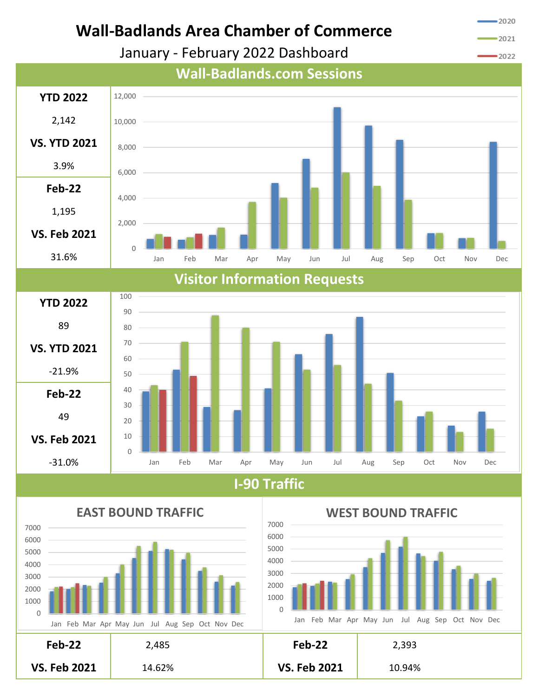

**I-90 Traffic**